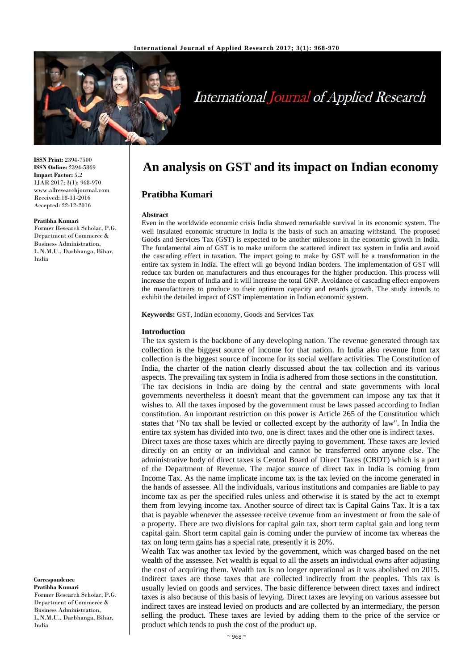

# **International Journal of Applied Research**

**ISSN Print:** 2394-7500 **ISSN Online:** 2394-5869 **Impact Factor:** 5.2 IJAR 2017; 3(1): 968-970 www.allresearchjournal.com Received: 18-11-2016 Accepted: 22-12-2016

#### **Pratibha Kumari**

Former Research Scholar, P.G. Department of Commerce & Business Administration, L.N.M.U., Darbhanga, Bihar, India

**Correspondence Pratibha Kumari** Former Research Scholar, P.G. Department of Commerce & Business Administration, L.N.M.U., Darbhanga, Bihar, India

# **An analysis on GST and its impact on Indian economy**

# **Pratibha Kumari**

#### **Abstract**

Even in the worldwide economic crisis India showed remarkable survival in its economic system. The well insulated economic structure in India is the basis of such an amazing withstand. The proposed Goods and Services Tax (GST) is expected to be another milestone in the economic growth in India. The fundamental aim of GST is to make uniform the scattered indirect tax system in India and avoid the cascading effect in taxation. The impact going to make by GST will be a transformation in the entire tax system in India. The effect will go beyond Indian borders. The implementation of GST will reduce tax burden on manufacturers and thus encourages for the higher production. This process will increase the export of India and it will increase the total GNP. Avoidance of cascading effect empowers the manufacturers to produce to their optimum capacity and retards growth. The study intends to exhibit the detailed impact of GST implementation in Indian economic system.

**Keywords:** GST, Indian economy, Goods and Services Tax

#### **Introduction**

The tax system is the backbone of any developing nation. The revenue generated through tax collection is the biggest source of income for that nation. In India also revenue from tax collection is the biggest source of income for its social welfare activities. The Constitution of India, the charter of the nation clearly discussed about the tax collection and its various aspects. The prevailing tax system in India is adhered from those sections in the constitution. The tax decisions in India are doing by the central and state governments with local governments nevertheless it doesn't meant that the government can impose any tax that it wishes to. All the taxes imposed by the government must be laws passed according to Indian constitution. An important restriction on this power is Article 265 of the Constitution which states that "No tax shall be levied or collected except by the authority of law". In India the entire tax system has divided into two, one is direct taxes and the other one is indirect taxes.

Direct taxes are those taxes which are directly paying to government. These taxes are levied directly on an entity or an individual and cannot be transferred onto anyone else. The administrative body of direct taxes is Central Board of Direct Taxes (CBDT) which is a part of the Department of Revenue. The major source of direct tax in India is coming from Income Tax. As the name implicate income tax is the tax levied on the income generated in the hands of assessee. All the individuals, various institutions and companies are liable to pay income tax as per the specified rules unless and otherwise it is stated by the act to exempt them from levying income tax. Another source of direct tax is Capital Gains Tax. It is a tax that is payable whenever the assessee receive revenue from an investment or from the sale of a property. There are two divisions for capital gain tax, short term capital gain and long term capital gain. Short term capital gain is coming under the purview of income tax whereas the tax on long term gains has a special rate, presently it is 20%.

Wealth Tax was another tax levied by the government, which was charged based on the net wealth of the assessee. Net wealth is equal to all the assets an individual owns after adjusting the cost of acquiring them. Wealth tax is no longer operational as it was abolished on 2015. Indirect taxes are those taxes that are collected indirectly from the peoples. This tax is usually levied on goods and services. The basic difference between direct taxes and indirect taxes is also because of this basis of levying. Direct taxes are levying on various assessee but indirect taxes are instead levied on products and are collected by an intermediary, the person selling the product. These taxes are levied by adding them to the price of the service or product which tends to push the cost of the product up.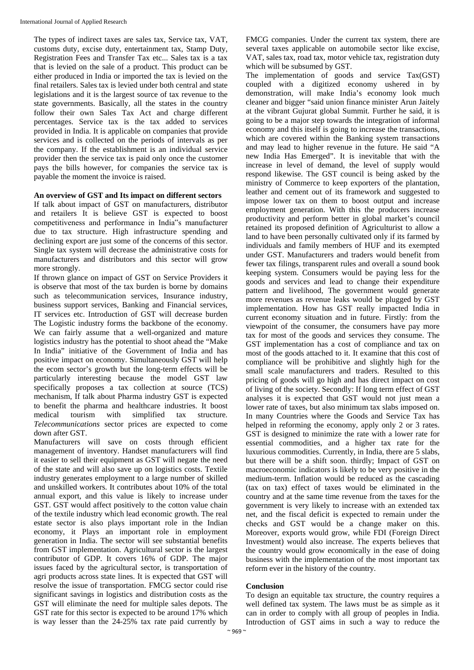The types of indirect taxes are sales tax, Service tax, VAT, customs duty, excise duty, entertainment tax, Stamp Duty, Registration Fees and Transfer Tax etc... Sales tax is a tax that is levied on the sale of a product. This product can be either produced in India or imported the tax is levied on the final retailers. Sales tax is levied under both central and state legislations and it is the largest source of tax revenue to the state governments. Basically, all the states in the country follow their own Sales Tax Act and charge different percentages. Service tax is the tax added to services provided in India. It is applicable on companies that provide services and is collected on the periods of intervals as per the company. If the establishment is an individual service provider then the service tax is paid only once the customer pays the bills however, for companies the service tax is payable the moment the invoice is raised.

# **An overview of GST and Its impact on different sectors**

If talk about impact of GST on manufacturers, distributor and retailers It is believe GST is expected to boost competitiveness and performance in India"s manufacturer due to tax structure. High infrastructure spending and declining export are just some of the concerns of this sector. Single tax system will decrease the administrative costs for manufacturers and distributors and this sector will grow more strongly.

If thrown glance on impact of GST on Service Providers it is observe that most of the tax burden is borne by domains such as telecommunication services, Insurance industry, business support services, Banking and Financial services, IT services etc. Introduction of GST will decrease burden The Logistic industry forms the backbone of the economy. We can fairly assume that a well-organized and mature logistics industry has the potential to shoot ahead the "Make In India" initiative of the Government of India and has positive impact on economy. Simultaneously GST will help the ecom sector's growth but the long-term effects will be particularly interesting because the model GST law specifically proposes a tax collection at source (TCS) mechanism, If talk about Pharma industry GST is expected to benefit the pharma and healthcare industries. It boost medical tourism with simplified tax structure*. Telecommunications* sector prices are expected to come down after GST.

Manufacturers will save on costs through efficient management of inventory. Handset manufacturers will find it easier to sell their equipment as GST will negate the need of the state and will also save up on logistics costs. Textile industry generates employment to a large number of skilled and unskilled workers. It contributes about 10% of the total annual export, and this value is likely to increase under GST. GST would affect positively to the cotton value chain of the textile industry which lead economic growth. The real estate sector is also plays important role in the Indian economy, it Plays an important role in employment generation in India. The sector will see substantial benefits from GST implementation. Agricultural sector is the largest contributor of GDP. It covers 16% of GDP. The major issues faced by the agricultural sector, is transportation of agri products across state lines. It is expected that GST will resolve the issue of transportation. FMCG sector could rise significant savings in logistics and distribution costs as the GST will eliminate the need for multiple sales depots. The GST rate for this sector is expected to be around 17% which is way lesser than the 24-25% tax rate paid currently by

FMCG companies. Under the current tax system, there are several taxes applicable on automobile sector like excise, VAT, sales tax, road tax, motor vehicle tax, registration duty which will be subsumed by GST.

The implementation of goods and service Tax(GST) coupled with a digitized economy ushered in by demonstration, will make India's economy look much cleaner and bigger "said union finance minister Arun Jaitely at the vibrant Gujurat global Summit. Further he said, it is going to be a major step towards the integration of informal economy and this itself is going to increase the transactions, which are covered within the Banking system transactions and may lead to higher revenue in the future. He said "A new India Has Emerged". It is inevitable that with the increase in level of demand, the level of supply would respond likewise. The GST council is being asked by the ministry of Commerce to keep exporters of the plantation, leather and cement out of its framework and suggested to impose lower tax on them to boost output and increase employment generation. With this the producers increase productivity and perform better in global market's council retained its proposed definition of Agriculturist to allow a land to have been personally cultivated only if its farmed by individuals and family members of HUF and its exempted under GST. Manufacturers and traders would benefit from fewer tax filings, transparent rules and overall a sound book keeping system. Consumers would be paying less for the goods and services and lead to change their expenditure pattern and livelihood, The government would generate more revenues as revenue leaks would be plugged by GST implementation. How has GST really impacted India in current economy situation and in future. Firstly: from the viewpoint of the consumer, the consumers have pay more tax for most of the goods and services they consume. The GST implementation has a cost of compliance and tax on most of the goods attached to it. It examine that this cost of compliance will be prohibitive and slightly high for the small scale manufacturers and traders. Resulted to this pricing of goods will go high and has direct impact on cost of living of the society. Secondly: If long term effect of GST analyses it is expected that GST would not just mean a lower rate of taxes, but also minimum tax slabs imposed on. In many Countries where the Goods and Service Tax has helped in reforming the economy, apply only 2 or 3 rates. GST is designed to minimize the rate with a lower rate for essential commodities, and a higher tax rate for the luxurious commodities. Currently, in India, there are 5 slabs, but there will be a shift soon. thirdly; Impact of GST on macroeconomic indicators is likely to be very positive in the medium-term. Inflation would be reduced as the cascading (tax on tax) effect of taxes would be eliminated in the country and at the same time revenue from the taxes for the government is very likely to increase with an extended tax net, and the fiscal deficit is expected to remain under the checks and GST would be a change maker on this. Moreover, exports would grow, while FDI (Foreign Direct Investment) would also increase. The experts believes that the country would grow economically in the ease of doing business with the implementation of the most important tax reform ever in the history of the country.

### **Conclusion**

To design an equitable tax structure, the country requires a well defined tax system. The laws must be as simple as it can in order to comply with all group of peoples in India. Introduction of GST aims in such a way to reduce the